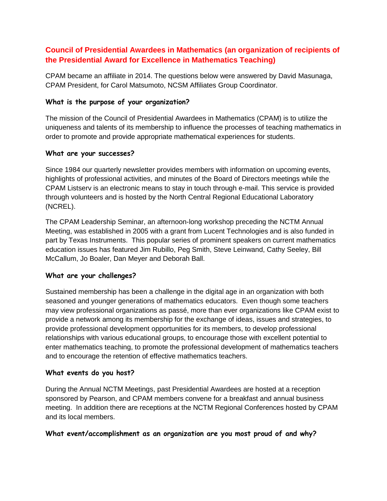# **Council of Presidential Awardees in Mathematics (an organization of recipients of the Presidential Award for Excellence in Mathematics Teaching)**

CPAM became an affiliate in 2014. The questions below were answered by David Masunaga, CPAM President, for Carol Matsumoto, NCSM Affiliates Group Coordinator.

### **What is the purpose of your organization?**

The mission of the Council of Presidential Awardees in Mathematics (CPAM) is to utilize the uniqueness and talents of its membership to influence the processes of teaching mathematics in order to promote and provide appropriate mathematical experiences for students.

## **What are your successes?**

Since 1984 our quarterly newsletter provides members with information on upcoming events, highlights of professional activities, and minutes of the Board of Directors meetings while the CPAM Listserv is an electronic means to stay in touch through e-mail. This service is provided through volunteers and is hosted by the [North Central Regional Educational Laboratory](http://www.ncrel.org/)  [\(NCREL\).](http://www.ncrel.org/)

The CPAM Leadership Seminar, an afternoon-long workshop preceding the NCTM Annual Meeting, was established in 2005 with a grant from Lucent Technologies and is also funded in part by Texas Instruments. This popular series of prominent speakers on current mathematics education issues has featured Jim Rubillo, Peg Smith, Steve Leinwand, Cathy Seeley, Bill McCallum, Jo Boaler, Dan Meyer and Deborah Ball.

## **What are your challenges?**

Sustained membership has been a challenge in the digital age in an organization with both seasoned and younger generations of mathematics educators. Even though some teachers may view professional organizations as passé, more than ever organizations like CPAM exist to provide a network among its membership for the exchange of ideas, issues and strategies, to provide professional development opportunities for its members, to develop professional relationships with various educational groups, to encourage those with excellent potential to enter mathematics teaching, to promote the professional development of mathematics teachers and to encourage the retention of effective mathematics teachers.

## **What events do you host?**

During the Annual NCTM Meetings, past Presidential Awardees are hosted at a reception sponsored by Pearson, and CPAM members convene for a breakfast and annual business meeting. In addition there are receptions at the NCTM Regional Conferences hosted by CPAM and its local members.

#### **What event/accomplishment as an organization are you most proud of and why?**